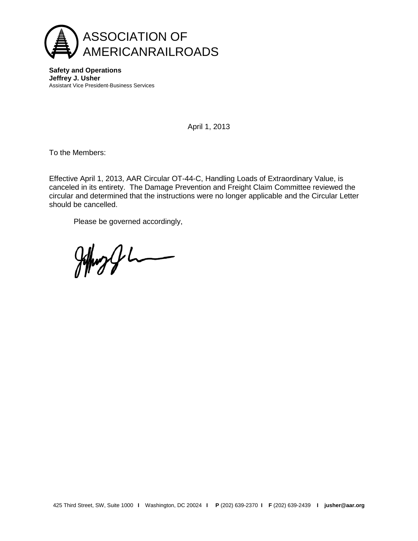

**Safety and Operations Jeffrey J. Usher** Assistant Vice President-Business Services

April 1, 2013

To the Members:

Effective April 1, 2013, AAR Circular OT-44-C, Handling Loads of Extraordinary Value, is canceled in its entirety. The Damage Prevention and Freight Claim Committee reviewed the circular and determined that the instructions were no longer applicable and the Circular Letter should be cancelled.

Please be governed accordingly,

Johns & L